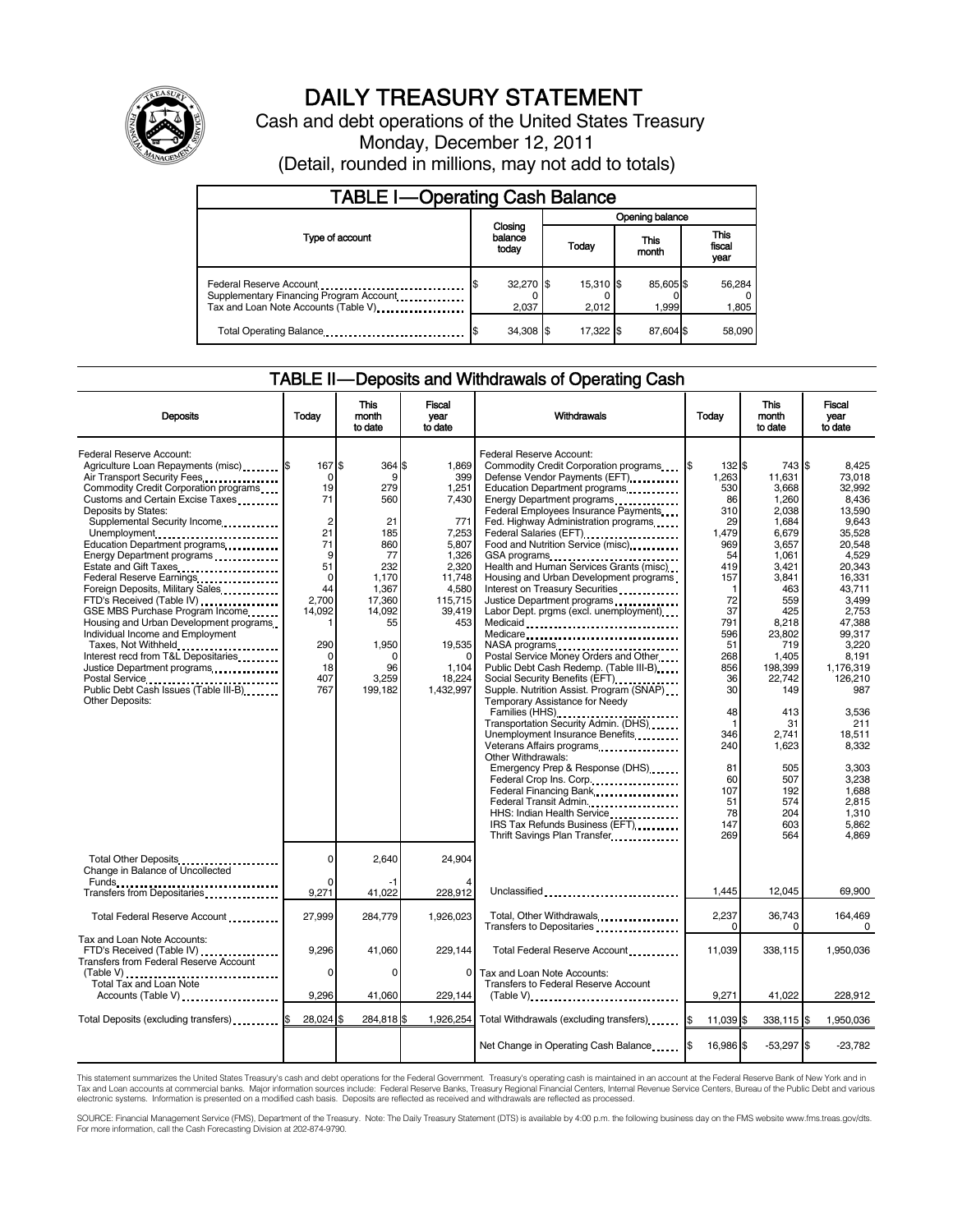

# DAILY TREASURY STATEMENT

Cash and debt operations of the United States Treasury Monday, December 12, 2011 (Detail, rounded in millions, may not add to totals)

| <b>TABLE I-Operating Cash Balance</b>                                                                        |  |                             |  |                    |  |                    |  |                               |
|--------------------------------------------------------------------------------------------------------------|--|-----------------------------|--|--------------------|--|--------------------|--|-------------------------------|
|                                                                                                              |  | Opening balance             |  |                    |  |                    |  |                               |
| Type of account                                                                                              |  | Closing<br>balance<br>today |  | Today              |  | This<br>month      |  | <b>This</b><br>fiscal<br>year |
| Federal Reserve Account<br>Supplementary Financing Program Account.<br>Tax and Loan Note Accounts (Table V). |  | 32,270 \$<br>2.037          |  | 15,310 \$<br>2.012 |  | 85,605 \$<br>1.999 |  | 56,284<br>1,805               |
| Total Operating Balance                                                                                      |  | 34,308 \$                   |  | 17.322             |  | 87.604 \$          |  | 58,090                        |

#### TABLE II — Deposits and Withdrawals of Operating Cash

| <b>Deposits</b>                                                                                                                                                                                                                                                                                                                                                                                                                                                                                                                                                                                                                                                                | Today                                                                                                                                                      | <b>This</b><br>month<br>to date                                                                                                                       | Fiscal<br>Withdrawals<br>Today<br>vear<br>to date                                                                                                                  |                                                                                                                                                                                                                                                                                                                                                                                                                                                                                                                                                                                                                                                                                                                                                                                                                                                                                                                                                                                                                                                                                                                                    | <b>This</b><br>month<br>to date                                                                                                                                                                                                          | Fiscal<br>vear<br>to date                                                                                                                                                                                                                                             |                                                                                                                                                                                                                                                                                                           |
|--------------------------------------------------------------------------------------------------------------------------------------------------------------------------------------------------------------------------------------------------------------------------------------------------------------------------------------------------------------------------------------------------------------------------------------------------------------------------------------------------------------------------------------------------------------------------------------------------------------------------------------------------------------------------------|------------------------------------------------------------------------------------------------------------------------------------------------------------|-------------------------------------------------------------------------------------------------------------------------------------------------------|--------------------------------------------------------------------------------------------------------------------------------------------------------------------|------------------------------------------------------------------------------------------------------------------------------------------------------------------------------------------------------------------------------------------------------------------------------------------------------------------------------------------------------------------------------------------------------------------------------------------------------------------------------------------------------------------------------------------------------------------------------------------------------------------------------------------------------------------------------------------------------------------------------------------------------------------------------------------------------------------------------------------------------------------------------------------------------------------------------------------------------------------------------------------------------------------------------------------------------------------------------------------------------------------------------------|------------------------------------------------------------------------------------------------------------------------------------------------------------------------------------------------------------------------------------------|-----------------------------------------------------------------------------------------------------------------------------------------------------------------------------------------------------------------------------------------------------------------------|-----------------------------------------------------------------------------------------------------------------------------------------------------------------------------------------------------------------------------------------------------------------------------------------------------------|
| Federal Reserve Account:<br>Agriculture Loan Repayments (misc) \$<br>Air Transport Security Fees<br>Commodity Credit Corporation programs<br>Customs and Certain Excise Taxes<br>Deposits by States:<br>Supplemental Security Income<br>Unemployment<br>Education Department programs<br>Energy Department programs<br>Estate and Gift Taxes<br><br>Federal Reserve Earnings<br>Foreign Deposits, Military Sales<br>FTD's Received (Table IV)<br>GSE MBS Purchase Program Income<br>Housing and Urban Development programs<br>Individual Income and Employment<br>Taxes, Not Withheld<br>Interest recd from T&L Depositaries<br>Justice Department programs<br>Other Deposits: | 167S<br>0<br>19<br>71<br>$\overline{2}$<br>21<br>71<br>9<br>51<br>$\Omega$<br>44<br>2,700<br>14,092<br>$\mathbf{1}$<br>290<br>$\Omega$<br>18<br>407<br>767 | 364 \$<br>9<br>279<br>560<br>21<br>185<br>860<br>77<br>232<br>1,170<br>1,367<br>17,360<br>14,092<br>55<br>1,950<br>$\Omega$<br>96<br>3.259<br>199.182 | 1.869<br>399<br>1.251<br>7,430<br>771<br>7,253<br>5,807<br>1,326<br>2.320<br>11,748<br>4,580<br>115,715<br>39,419<br>453<br>19,535<br>1,104<br>18.224<br>1,432,997 | Federal Reserve Account:<br>Commodity Credit Corporation programs \$<br>Defense Vendor Payments (EFT)<br>Education Department programs<br>Energy Department programs<br>Federal Employees Insurance Payments<br>Fed. Highway Administration programs<br>Federal Salaries (EFT)<br>Food and Nutrition Service (misc)<br>Health and Human Services Grants (misc)<br>Housing and Urban Development programs<br>Interest on Treasury Securities<br>Justice Department programs<br>Labor Dept. prgms (excl. unemployment)<br>Medicaid<br>Medicare<br>NASA programs<br>Postal Service Money Orders and Other<br>Public Debt Cash Redemp. (Table III-B)<br>Social Security Benefits (EFT)<br>Supple. Nutrition Assist. Program (SNAP)<br>Temporary Assistance for Needy<br>Families (HHS)<br>Transportation Security Admin. (DHS)<br>Unemployment Insurance Benefits<br>Veterans Affairs programs<br>Other Withdrawals:<br>Emergency Prep & Response (DHS)<br>Federal Crop Ins. Corp.<br>Federal Financing Bank<br>Federal Transit Admin.<br>HHS: Indian Health Service<br>IRS Tax Refunds Business (EFT)<br>Thrift Savings Plan Transfer | 132 \$<br>1.263<br>530<br>86<br>310<br>29<br>1,479<br>969<br>54<br>419<br>157<br>$\mathbf{1}$<br>72<br>37<br>791<br>596<br>51<br>268<br>856<br>36<br>30<br>48<br>$\mathbf{1}$<br>346<br>240<br>81<br>60<br>107<br>51<br>78<br>147<br>269 | 743 \$<br>11.631<br>3.668<br>1,260<br>2,038<br>1,684<br>6,679<br>3,657<br>1,061<br>3,421<br>3,841<br>463<br>559<br>425<br>8,218<br>23,802<br>719<br>1,405<br>198,399<br>22.742<br>149<br>413<br>31<br>2,741<br>1,623<br>505<br>507<br>192<br>574<br>204<br>603<br>564 | 8.425<br>73.018<br>32.992<br>8,436<br>13,590<br>9.643<br>35,528<br>20.548<br>4,529<br>20.343<br>16,331<br>43.711<br>3,499<br>2,753<br>47,388<br>99.317<br>3,220<br>8,191<br>1.176.319<br>126.210<br>987<br>3,536<br>211<br>18,511<br>8,332<br>3.303<br>3.238<br>1.688<br>2,815<br>1,310<br>5,862<br>4,869 |
| Total Other Deposits<br>Change in Balance of Uncollected                                                                                                                                                                                                                                                                                                                                                                                                                                                                                                                                                                                                                       | 0                                                                                                                                                          | 2,640                                                                                                                                                 | 24,904                                                                                                                                                             |                                                                                                                                                                                                                                                                                                                                                                                                                                                                                                                                                                                                                                                                                                                                                                                                                                                                                                                                                                                                                                                                                                                                    |                                                                                                                                                                                                                                          |                                                                                                                                                                                                                                                                       |                                                                                                                                                                                                                                                                                                           |
| Transfers from Depositaries<br>                                                                                                                                                                                                                                                                                                                                                                                                                                                                                                                                                                                                                                                | 0<br>9,271                                                                                                                                                 | -1<br>41,022                                                                                                                                          | 228,912                                                                                                                                                            | Unclassified                                                                                                                                                                                                                                                                                                                                                                                                                                                                                                                                                                                                                                                                                                                                                                                                                                                                                                                                                                                                                                                                                                                       | 1.445                                                                                                                                                                                                                                    | 12.045                                                                                                                                                                                                                                                                | 69.900                                                                                                                                                                                                                                                                                                    |
| Total Federal Reserve Account                                                                                                                                                                                                                                                                                                                                                                                                                                                                                                                                                                                                                                                  | 27,999                                                                                                                                                     | 284,779                                                                                                                                               | 1.926.023                                                                                                                                                          | Total, Other Withdrawals<br>Transfers to Depositaries                                                                                                                                                                                                                                                                                                                                                                                                                                                                                                                                                                                                                                                                                                                                                                                                                                                                                                                                                                                                                                                                              | 2,237<br>$\Omega$                                                                                                                                                                                                                        | 36,743<br>0                                                                                                                                                                                                                                                           | 164,469<br>0                                                                                                                                                                                                                                                                                              |
| Tax and Loan Note Accounts:<br>FTD's Received (Table IV)<br>Transfers from Federal Reserve Account                                                                                                                                                                                                                                                                                                                                                                                                                                                                                                                                                                             | 9,296                                                                                                                                                      | 41,060                                                                                                                                                | 229,144                                                                                                                                                            | Total Federal Reserve Account                                                                                                                                                                                                                                                                                                                                                                                                                                                                                                                                                                                                                                                                                                                                                                                                                                                                                                                                                                                                                                                                                                      | 11,039                                                                                                                                                                                                                                   | 338,115                                                                                                                                                                                                                                                               | 1,950,036                                                                                                                                                                                                                                                                                                 |
| (Table V)<br>Total Tax and Loan Note<br>Accounts (Table V)                                                                                                                                                                                                                                                                                                                                                                                                                                                                                                                                                                                                                     | 0<br>9,296                                                                                                                                                 | 0<br>41,060                                                                                                                                           | $\mathbf{0}$<br>229,144                                                                                                                                            | Tax and Loan Note Accounts:<br><b>Transfers to Federal Reserve Account</b><br>$(Table V)$ , $\ldots$ , $\ldots$ , $\ldots$ , $\ldots$ , $\ldots$ , $\ldots$ , $\ldots$ , $\ldots$ , $\ldots$                                                                                                                                                                                                                                                                                                                                                                                                                                                                                                                                                                                                                                                                                                                                                                                                                                                                                                                                       | 9,271                                                                                                                                                                                                                                    | 41,022                                                                                                                                                                                                                                                                | 228,912                                                                                                                                                                                                                                                                                                   |
| Total Deposits (excluding transfers)                                                                                                                                                                                                                                                                                                                                                                                                                                                                                                                                                                                                                                           | 28.024 \$                                                                                                                                                  | 284,818                                                                                                                                               | 1.926.254                                                                                                                                                          | Total Withdrawals (excluding transfers) [155]                                                                                                                                                                                                                                                                                                                                                                                                                                                                                                                                                                                                                                                                                                                                                                                                                                                                                                                                                                                                                                                                                      | 11,039 \$                                                                                                                                                                                                                                | 338,115 \$                                                                                                                                                                                                                                                            | 1,950,036                                                                                                                                                                                                                                                                                                 |
|                                                                                                                                                                                                                                                                                                                                                                                                                                                                                                                                                                                                                                                                                |                                                                                                                                                            |                                                                                                                                                       |                                                                                                                                                                    | Net Change in Operating Cash Balance                                                                                                                                                                                                                                                                                                                                                                                                                                                                                                                                                                                                                                                                                                                                                                                                                                                                                                                                                                                                                                                                                               | l\$<br>16,986 \$                                                                                                                                                                                                                         | $-53,297$ \$                                                                                                                                                                                                                                                          | $-23.782$                                                                                                                                                                                                                                                                                                 |

This statement summarizes the United States Treasury's cash and debt operations for the Federal Government. Treasury's operating cash is maintained in an account at the Federal Reserve Bank of New York and in<br>Tax and Loan

SOURCE: Financial Management Service (FMS), Department of the Treasury. Note: The Daily Treasury Statement (DTS) is available by 4:00 p.m. the following business day on the FMS website www.fms.treas.gov/dts.<br>For more infor